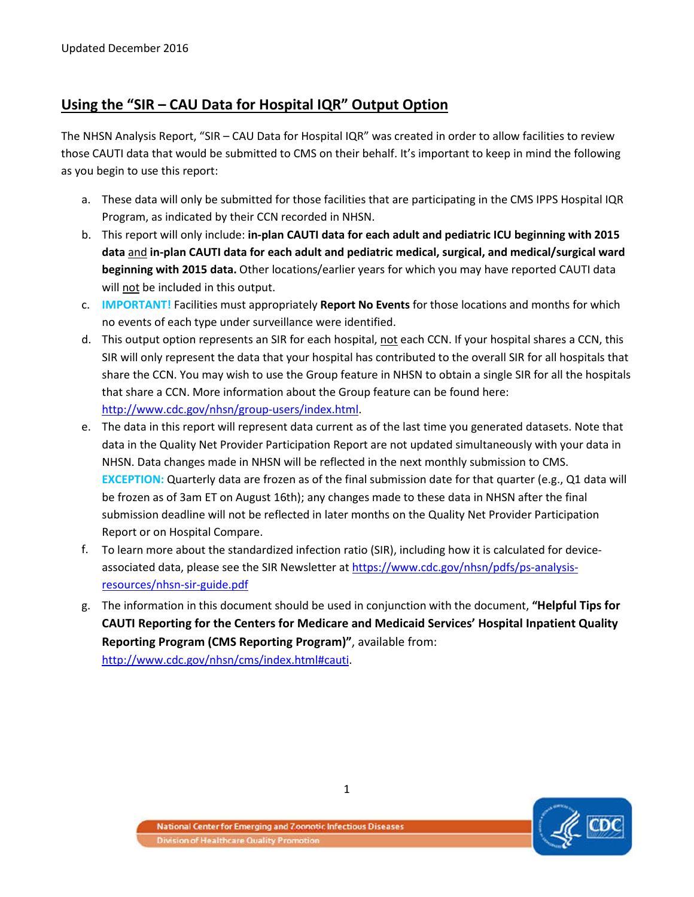# **Using the "SIR – CAU Data for Hospital IQR" Output Option**

The NHSN Analysis Report, "SIR – CAU Data for Hospital IQR" was created in order to allow facilities to review those CAUTI data that would be submitted to CMS on their behalf. It's important to keep in mind the following as you begin to use this report:

- a. These data will only be submitted for those facilities that are participating in the CMS IPPS Hospital IQR Program, as indicated by their CCN recorded in NHSN.
- b. This report will only include: **in-plan CAUTI data for each adult and pediatric ICU beginning with 2015 data** and **in-plan CAUTI data for each adult and pediatric medical, surgical, and medical/surgical ward beginning with 2015 data.** Other locations/earlier years for which you may have reported CAUTI data will not be included in this output.
- c. **IMPORTANT!** Facilities must appropriately **Report No Events** for those locations and months for which no events of each type under surveillance were identified.
- d. This output option represents an SIR for each hospital, not each CCN. If your hospital shares a CCN, this SIR will only represent the data that your hospital has contributed to the overall SIR for all hospitals that share the CCN. You may wish to use the Group feature in NHSN to obtain a single SIR for all the hospitals that share a CCN. More information about the Group feature can be found here: [http://www.cdc.gov/nhsn/group-users/index.html.](http://www.cdc.gov/nhsn/group-users/index.html)
- e. The data in this report will represent data current as of the last time you generated datasets. Note that data in the Quality Net Provider Participation Report are not updated simultaneously with your data in NHSN. Data changes made in NHSN will be reflected in the next monthly submission to CMS. **EXCEPTION:** Quarterly data are frozen as of the final submission date for that quarter (e.g., Q1 data will be frozen as of 3am ET on August 16th); any changes made to these data in NHSN after the final submission deadline will not be reflected in later months on the Quality Net Provider Participation Report or on Hospital Compare.
- f. To learn more about the standardized infection ratio (SIR), including how it is calculated for deviceassociated data, please see the SIR Newsletter at [https://www.cdc.gov/nhsn/pdfs/ps-analysis](https://www.cdc.gov/nhsn/pdfs/ps-analysis-resources/nhsn-sir-guide.pdf)[resources/nhsn-sir-guide.pdf](https://www.cdc.gov/nhsn/pdfs/ps-analysis-resources/nhsn-sir-guide.pdf)
- g. The information in this document should be used in conjunction with the document, **"Helpful Tips for CAUTI Reporting for the Centers for Medicare and Medicaid Services' Hospital Inpatient Quality Reporting Program (CMS Reporting Program)"**, available from: [http://www.cdc.gov/nhsn/cms/index.html#cauti.](http://www.cdc.gov/nhsn/cms/index.html#cauti)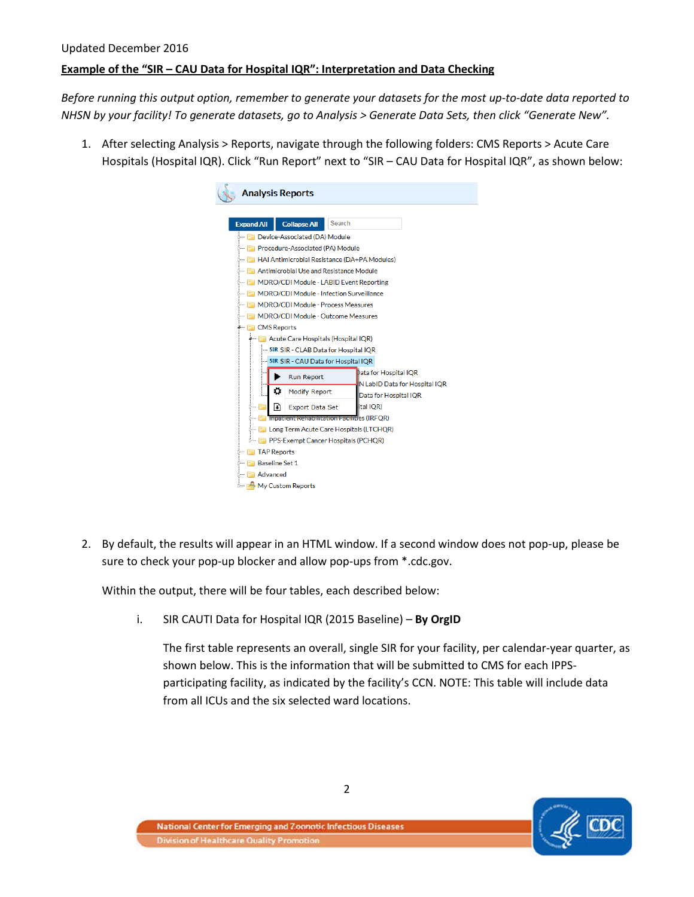## Updated December 2016 **Example of the "SIR – CAU Data for Hospital IQR": Interpretation and Data Checking**

*Before running this output option, remember to generate your datasets for the most up-to-date data reported to NHSN by your facility! To generate datasets, go to Analysis > Generate Data Sets, then click "Generate New".*

1. After selecting Analysis > Reports, navigate through the following folders: CMS Reports > Acute Care Hospitals (Hospital IQR). Click "Run Report" next to "SIR – CAU Data for Hospital IQR", as shown below:

| <b>Analysis Reports</b> |                                                              |        |                                                               |  |  |  |  |  |  |  |
|-------------------------|--------------------------------------------------------------|--------|---------------------------------------------------------------|--|--|--|--|--|--|--|
|                         |                                                              |        |                                                               |  |  |  |  |  |  |  |
| <b>Expand All</b>       | <b>Collapse All</b>                                          | Search |                                                               |  |  |  |  |  |  |  |
|                         | <b>ED</b> Device-Associated (DA) Module                      |        |                                                               |  |  |  |  |  |  |  |
|                         | Fig. Procedure-Associated (PA) Module                        |        |                                                               |  |  |  |  |  |  |  |
|                         | <b>External HAI Antimicrobial Resistance (DA+PA Modules)</b> |        |                                                               |  |  |  |  |  |  |  |
|                         | <b>Example: Antimicrobial Use and Resistance Module</b>      |        |                                                               |  |  |  |  |  |  |  |
|                         | MDRO/CDI Module - LABID Event Reporting                      |        |                                                               |  |  |  |  |  |  |  |
|                         | <b>E MDRO/CDI Module - Infection Surveillance</b>            |        |                                                               |  |  |  |  |  |  |  |
|                         | <b>En MDRO/CDI Module - Process Measures</b>                 |        |                                                               |  |  |  |  |  |  |  |
|                         | <b>E MDRO/CDI Module - Outcome Measures</b>                  |        |                                                               |  |  |  |  |  |  |  |
| 4 CMS Reports           |                                                              |        |                                                               |  |  |  |  |  |  |  |
|                         | Acute Care Hospitals (Hospital IQR)                          |        |                                                               |  |  |  |  |  |  |  |
|                         | <b>EXAMPLE SIR - CLAB Data for Hospital IOR</b>              |        |                                                               |  |  |  |  |  |  |  |
|                         | <b>SIR SIR - CAU Data for Hospital IQR</b>                   |        |                                                               |  |  |  |  |  |  |  |
|                         | <b>Run Report</b>                                            |        | Data for Hospital IQR<br><b>N LabID Data for Hospital IQR</b> |  |  |  |  |  |  |  |
| ۰                       | <b>Modify Report</b>                                         |        | Data for Hospital IQR                                         |  |  |  |  |  |  |  |
| M                       | <b>Export Data Set</b>                                       |        | ital IQR)                                                     |  |  |  |  |  |  |  |
|                         | <b>Inpatient Rehabilitation Facilities (IRFOR)</b>           |        |                                                               |  |  |  |  |  |  |  |
|                         | <b>En Long Term Acute Care Hospitals (LTCHQR)</b>            |        |                                                               |  |  |  |  |  |  |  |
|                         | <b>Formula</b> PPS-Exempt Cancer Hospitals (PCHOR)           |        |                                                               |  |  |  |  |  |  |  |
|                         | <b>Extra TAP Reports</b>                                     |        |                                                               |  |  |  |  |  |  |  |
|                         | <b>Baseline Set 1</b>                                        |        |                                                               |  |  |  |  |  |  |  |
| <b>E</b> Advanced       |                                                              |        |                                                               |  |  |  |  |  |  |  |
|                         | My Custom Reports                                            |        |                                                               |  |  |  |  |  |  |  |

2. By default, the results will appear in an HTML window. If a second window does not pop-up, please be sure to check your pop-up blocker and allow pop-ups from \*.cdc.gov.

Within the output, there will be four tables, each described below:

i. SIR CAUTI Data for Hospital IQR (2015 Baseline) – **By OrgID**

The first table represents an overall, single SIR for your facility, per calendar-year quarter, as shown below. This is the information that will be submitted to CMS for each IPPSparticipating facility, as indicated by the facility's CCN. NOTE: This table will include data from all ICUs and the six selected ward locations.

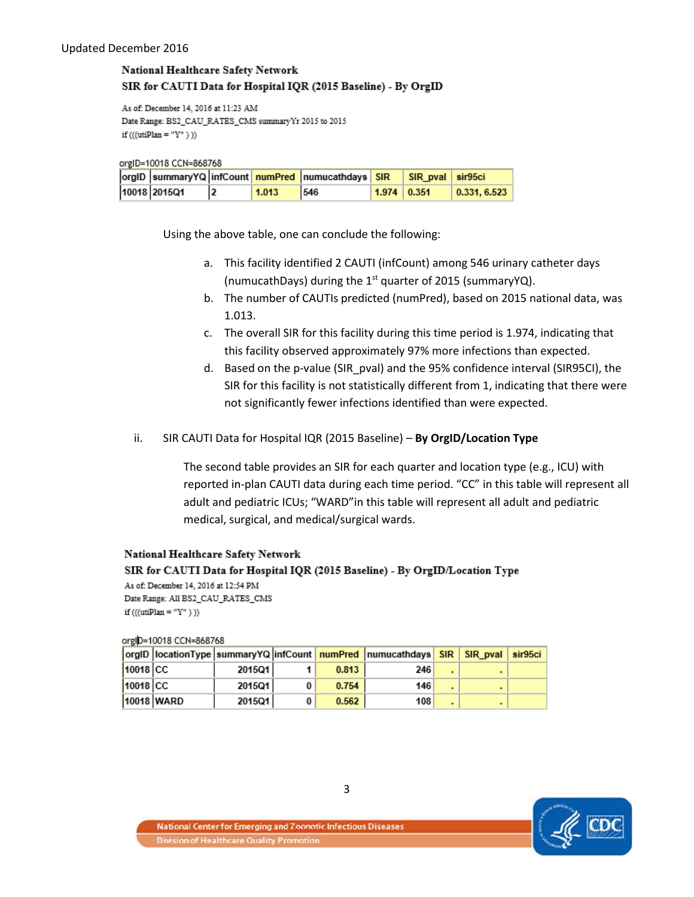### National Healthcare Safety Network SIR for CAUTI Data for Hospital IQR (2015 Baseline) - By OrgID

As of: December 14, 2016 at 11:23 AM Date Range: BS2\_CAU\_RATES\_CMS summary Yr 2015 to 2015 if  $(((utilPlan = "Y" ))$ 

orgID=10018 CCN=868768

|              |       | orgID  summaryYQ  infCount   numPred  numucathdays   SIR   SIR_pval   sir95ci |                    |                      |
|--------------|-------|-------------------------------------------------------------------------------|--------------------|----------------------|
| 10018 2015Q1 | 1.013 | 546                                                                           | $1.974 \mid 0.351$ | $\big $ 0.331, 6.523 |

Using the above table, one can conclude the following:

- a. This facility identified 2 CAUTI (infCount) among 546 urinary catheter days (numucathDays) during the  $1<sup>st</sup>$  quarter of 2015 (summaryYQ).
- b. The number of CAUTIs predicted (numPred), based on 2015 national data, was 1.013.
- c. The overall SIR for this facility during this time period is 1.974, indicating that this facility observed approximately 97% more infections than expected.
- d. Based on the p-value (SIR\_pval) and the 95% confidence interval (SIR95CI), the SIR for this facility is not statistically different from 1, indicating that there were not significantly fewer infections identified than were expected.
- ii. SIR CAUTI Data for Hospital IQR (2015 Baseline) **By OrgID/Location Type**

The second table provides an SIR for each quarter and location type (e.g., ICU) with reported in-plan CAUTI data during each time period. "CC" in this table will represent all adult and pediatric ICUs; "WARD"in this table will represent all adult and pediatric medical, surgical, and medical/surgical wards.

#### National Healthcare Safety Network

SIR for CAUTI Data for Hospital IQR (2015 Baseline) - By OrgID/Location Type As of: December 14, 2016 at 12:54 PM Date Range: All BS2\_CAU\_RATES\_CMS

if (((utiPlan = "Y")))

orglD=10018 CCN=868768

|          |            |        |       | orgID locationType summaryYQ infCount numPred numucathdays  SIR   SIR pval   sir95ci |  |  |
|----------|------------|--------|-------|--------------------------------------------------------------------------------------|--|--|
| 10018 CC |            | 2015Q1 | 0.813 | 246                                                                                  |  |  |
| 10018 CC |            | 201501 | 0.754 | 146                                                                                  |  |  |
|          | 10018 WARD | 2015Q1 | 0.562 | 108                                                                                  |  |  |

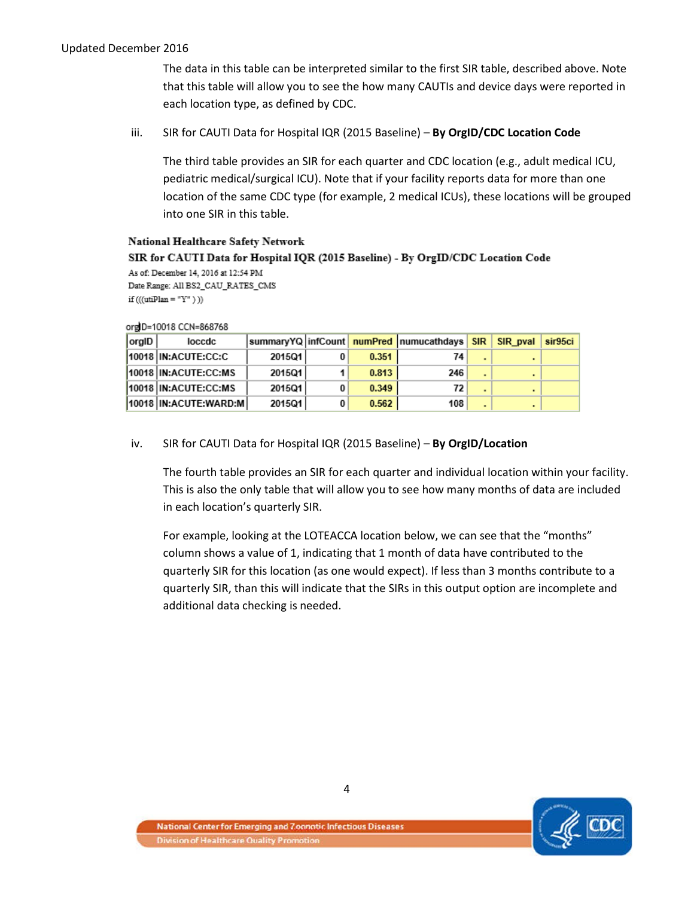The data in this table can be interpreted similar to the first SIR table, described above. Note that this table will allow you to see the how many CAUTIs and device days were reported in each location type, as defined by CDC.

iii. SIR for CAUTI Data for Hospital IQR (2015 Baseline) – **By OrgID/CDC Location Code**

The third table provides an SIR for each quarter and CDC location (e.g., adult medical ICU, pediatric medical/surgical ICU). Note that if your facility reports data for more than one location of the same CDC type (for example, 2 medical ICUs), these locations will be grouped into one SIR in this table.

#### **National Healthcare Safety Network**

SIR for CAUTI Data for Hospital IQR (2015 Baseline) - By OrgID/CDC Location Code As of: December 14, 2016 at 12:54 PM

Date Range: All BS2\_CAU\_RATES\_CMS if  $(((utiPlan = "Y")))$ 

| org D=10018 CCN=868768 |
|------------------------|
|                        |

| orgID | loccdc                     |        |   |       | summaryYQ   infCount   numPred   numucathdays | <b>SIR</b> | SIR pval | sir95ci |
|-------|----------------------------|--------|---|-------|-----------------------------------------------|------------|----------|---------|
|       | 10018 IN:ACUTE:CC:C        | 2015Q1 |   | 0.351 | 74                                            |            |          |         |
|       | 10018 IN:ACUTE:CC:MS       | 2015Q1 |   | 0.813 | 246                                           |            |          |         |
|       | 10018 IN:ACUTE:CC:MS       | 2015Q1 |   | 0.349 | 72                                            |            |          |         |
|       | 10018   IN: ACUTE: WARD: M | 2015Q1 | 0 | 0.562 | 108                                           |            |          |         |

#### iv. SIR for CAUTI Data for Hospital IQR (2015 Baseline) – **By OrgID/Location**

The fourth table provides an SIR for each quarter and individual location within your facility. This is also the only table that will allow you to see how many months of data are included in each location's quarterly SIR.

For example, looking at the LOTEACCA location below, we can see that the "months" column shows a value of 1, indicating that 1 month of data have contributed to the quarterly SIR for this location (as one would expect). If less than 3 months contribute to a quarterly SIR, than this will indicate that the SIRs in this output option are incomplete and additional data checking is needed.